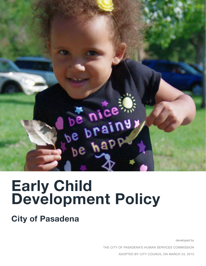

# **Early Child Development Policy**

**City of Pasadena**

developed by

THE CITY OF PASADENA'S HUMAN SERVICES COMMISSION

ADOPTED BY CITY COUNCIL ON MARCH 23, 2015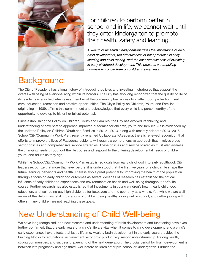

For children to perform better in school and in life, we cannot wait until they enter kindergarten to promote their health, safety and learning.

*A wealth of research clearly demonstrates the importance of early brain development, the effectiveness of best practices in early learning and child rearing, and the cost-effectiveness of investing in early childhood development. This presents a compelling rationale to concentrate on children's early years.*

### **Background**

The City of Pasadena has a long history of introducing policies and investing in strategies that support the overall well being of everyone living within its borders. The City has also long recognized that the quality of life of its residents is enriched when every member of the community has access to shelter, food, protection, health care, education, recreation and creative opportunities. The City's Policy on Children, Youth, and Families originating in 1989, affirms this commitment and acknowledges that every child is a person worthy of the opportunity to develop to his or her fullest potential.

Since establishing the Policy on Children, Youth and Families, the City has evolved its thinking and understanding of how best to approach improved outcomes for children, youth and families. As is evidenced by the updated Policy on Children, Youth and Families in 2012 – 2013, along with recently adopted 2013 -2016 School/City/Community Work Plan, recently renamed Collaborate PASadena, there is renewed recognition that efforts to improve the lives of Pasadena residents will require a comprehensive approach that involves cross sector policies and comprehensive service strategies. These policies and service strategies must also address the changing needs throughout the life course and respond to the differing developmental needs of children, youth, and adults as they age.

While the School/City/Community Work Plan established goals from early childhood into early adulthood, City leaders recognize that more than ever before, it is understood that the first five years of a child's life shape their future learning, behaviors and health. There is also a great potential for improving the health of the population through a focus on early childhood outcomes as several decades of research has established the critical influence of early childhood experiences and environments on health and well-being throughout one's life course. Further research has also established that Investments in young children's health, early childhood education, and well-being pay high dividends for taxpayers and the economy as a whole. Yet, while we are well aware of the lifelong societal implications of children being healthy, doing well in school, and getting along with others, many children are not reaching these goals.

### New Understanding of Child Well-being

We have long recognized, and new research and understanding of brain development and functioning have even further confirmed, that the early years of a child's life are vital when it comes to child development, and a child's early experiences have effects that last a lifetime. Healthy brain development in the early years provides the building blocks for educational achievement, economic productivity, responsible citizenship, lifelong health, strong communities, and successful parenting of the next generation. The crucial period for brain development is between late pregnancy and age three, well before children enter pre-school or kindergarten. Further, the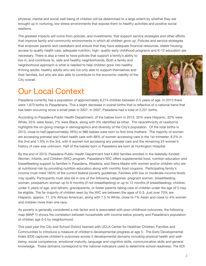physical, mental and social well-being of children will be determined to a large extent by whether they are brought up in nurturing, low stress environments that expose them to healthy activities and positive social relations.

The greatest impacts will come from policies, and investments, that support service strategies and other efforts that improve family and community environments in which all children grow up. Policies and service strategies that empower parents and caretakers and ensure that they have adequate financial resources, stable housing, access to quality health care, adequate nutrition, high- quality early childhood programs and K-12 education are

necessary. There is also a need to have policies that support a family's ability to live in, and contribute to, safe and healthy neighborhoods. Both a family and neighborhood approach is what is needed to help children grow into healthy thriving adults: healthy adults who are not only able to support themselves and their families, but who are also able to contribute to the economic viability of the City overall.

### Our Local Context



Pasadena currently has a population of approximately 8,274 children between 0-5 years of age. In 2013 there were 1,973 births to Pasadenans. This a slight decrease in overall births that is reflective of a national trend that has been occurring since a small peak in 2007. In 2007, Pasadena had a total of 2,221 births.

According to Pasadena Public Health Department, of the babies born in 2013, 32% were Hispanic, 32% were White, 25% were Asian, 7% were Black, along with 3% identified as other. The race/ethnicity of newborns highlights the on-going change in demographics and diversity of the City's population. Of the total births in 2013, close to half (approximately 49%) or 966 babies were born to first time mothers. The majority of women are accessing prenatal and infant health care with 88% of women accessing care in the 1st trimester, 8.5% in the 2nd and 1.9% in the 3rd, with 6 women not accessing any prenatal care and the remaining 23 women's history of care was unknown. Half of the babies born in Pasadena are born at Huntington Hospital.

By the end of 2013, Pasadena Public Health Department had 4,850 families enrolled in the federally–funded Women, Infants, and Children (WIC) program. Pasadena's WIC offers supplemental food, nutrition education and breastfeeding support to families in Pasadena, Altadena, and Sierra Madre with women and/or children who are at nutritional risk by providing nutrition education along with monthly food coupons. Participating family's income must meet 185% of the current federal poverty guidelines. Families with low or moderate-income levels may qualify. Participants must also be in one of the following categories: pregnant woman, breastfeeding woman, postpartum woman up to 6 months (if not breastfeeding) or up to 12 months (if breastfeeding), children under 5 years of age, and fathers, grandparents, or foster parents taking care of children under the age of 5 may be eligible. The far majority of children seen by the WIC are between the ages of 0-3. Just over 70% are Hispanic, approx. 11. 5% African American, along with 7.5 % White, close to 7% Asian and close to 4% women and children more than one race.

As poverty is generally considered a risk factor and is associated with poor childhood outcomes, the following map (MAP 1) shows the correlation between households with income below poverty and Pasadena's population of children age 0-5 by neighborhood.

This past year the City and School District teamed with UCLA Center for Healthier Children, Families and Communities to introduce a measure of children's developmental progress at age 5. The Early Developmental Index (EDI) captures children's outcomes across 5 developmental domains including physical health and wellbeing, social competence, emotional maturity, language and cognitive skills, communication skills and general knowledge. These domains correspond to the national indicators used to determine school readiness. The EDI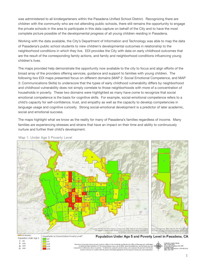was administered to all kindergarteners within the Pasadena Unified School District. Recognizing there are children with the community who are not attending public schools, there still remains the opportunity to engage the private schools in the area to participate in this data capture on behalf of the City and to have the most complete picture possible of the developmental progress of all young children residing in Pasadena.

Working with the data available, the City's Department of Information and Technology was able to map the data of Pasadena's public school students to view children's developmental outcomes in relationship to the neighborhood conditions in which they live. EDI provides the City with data on early childhood outcomes that are the result of the corresponding family actions, and family and neighborhood conditions influencing young children's lives.

The maps provided help demonstrate the opportunity now available to the city to focus and align efforts of the broad array of the providers offering services, guidance and support to families with young children. The following two EDI maps presented focus on different domains (MAP 2: Social Emotional Competence, and MAP 3: Communications Skills) to underscore that the types of early childhood vulnerability differs by neighborhood and childhood vulnerability does not simply correlate to those neighborhoods with more of a concentration of households in poverty. These two domains were highlighted as many have come to recognize that social emotional competence is the basis for cognitive skills. For example, social-emotional competence refers to a child's capacity for self-confidence, trust, and empathy as well as the capacity to develop competencies in language usage and cognitive curiosity. Strong social-emotional development is a predictor of later academic, social and emotional success.

The maps highlight what we know as the reality for many of Pasadena's families regardless of income. Many families are experiencing stresses and strains that have an impact on their time and ability to continuously nurture and further their child's development.



Map 1: Under Age 5 Poverty Level

 $850$ 

 $\frac{1}{2}$  s100

st50

 $5320$ 

 $\Box$  <100

 $x200$ 

Δ

 $\star$ s300

isan Community Survey poverty statistics adhere to the standards specified by the Office of Management<br>in Statistical Policy Creative 14, The Censis Eureau uses a set of dollar wake thresholds that way for family<br>dison to composition to dete son's total family

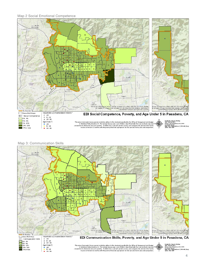Map 2 Social Emotional Competence



Map 3: Communication Skills



\*American Community Survey poverty statistics adhere to the standards specified by the Office of Management and Budget in Statistical Policy Directive 14. The Census Develops are set of dollar value thresholds that vary b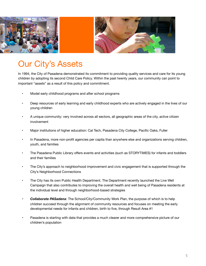

### Our City's Assets

In 1994, the City of Pasadena demonstrated its commitment to providing quality services and care for its young children by adopting its second Child Care Policy. Within the past twenty years, our community can point to important "assets" as a result of this policy and commitment.

- Model early childhood programs and after school programs
- Deep resources of early learning and early childhood experts who are actively engaged in the lives of our young children
- A unique community: very involved across all sectors, all geographic areas of the city, active citizen involvement
- Major institutions of higher education: Cal Tech, Pasadena City College, Pacific Oaks, Fuller
- In Pasadena, more non-profit agencies per capita than anywhere else and organizations serving children, youth, and families
- The Pasadena Public Library offers events and activities (such as STORYTIMES) for infants and toddlers and their families
- The City's approach to neighborhood improvement and civic engagement that is supported through the City's Neighborhood Connections
- The City has its own Public Health Department. The Department recently launched the Live Well Campaign that also contributes to improving the overall health and well being of Pasadena residents at the individual level and through neighborhood-based strategies
- *• Collaborate PASadena*: The School/City/Community Work Plan, the purpose of which is to help children succeed through the alignment of community resources and focuses on meeting the early developmental needs for infants and children, birth to five, through Result Area #1
- *•* Pasadena is starting with data that provides a much clearer and more comprehensive picture of our children's population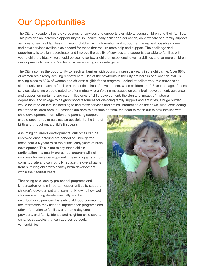# Our Opportunities

The City of Pasadena has a diverse array of services and supports available to young children and their families. This provides an incredible opportunity to link health, early childhood education, child welfare and family support services to reach all families with young children with information and support at the earliest possible moment and have services available as needed for those that require more help and support. The challenge and opportunity is to align, coordinate, and improve the quality of services and supports available to families with young children. Ideally, we should be seeing far fewer children experiencing vulnerabilities and far more children developmentally ready or "on track" when entering into kindergarten.

The City also has the opportunity to reach all families with young children very early in the child's life. Over 88% of women are already seeking prenatal care. Half of the newborns in the City are born in one location. WIC is serving close to 88% of women and children eligible for its program. Looked at collectively, this provides an almost universal reach to families at the critical time of development, when children are 0-3 years of age. If these services alone were coordinated to offer mutually re-enforcing messages on early brain development, guidance and support on nurturing and care, milestones of child development, the sign and impact of maternal depression, and linkage to neighborhood resources for on-going family support and activities, a huge burden would be lifted on families needing to find these services and critical information on their own. Also, considering half of the children born in Pasadena are born to first time parents, the need to reach out to new families with

child development information and parenting support should occur prior, or as close as possible, to the time of birth and throughout a child's first years.

Assuming children's developmental outcomes can be improved once entering pre-school or kindergarten, these post 0-5 years miss the critical early years of brain development. This is not to say that a child's participation in a quality pre-school program will not improve children's development. These programs simply come too late and cannot fully replace the overall gains from nurturing children's healthy brain development within their earliest years.

That being said, quality pre-school programs and kindergarten remain important opportunities to support children's development and learning. Knowing how well children are doing developmentally and by neighborhood, provides the early childhood community the information they need to improve their programs and offer information to families, and home day care providers, and family, friends and neighbor child care to enhance strategies that can address particular vulnerabilities.

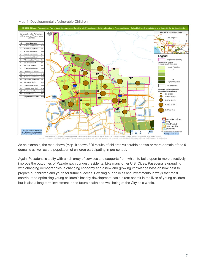Map 4: Developmentally Vulnerable Children



The UCLA Center for<br>The EDI is the copyright of Mo ilthier Children, Fam McMan for Child Studie

As an example, the map above (Map 4) shows EDI results of children vulnerable on two or more domain of the 5 domains as well as the population of children participating in pre-school.

Again, Pasadena is a city with a rich array of services and supports from which to build upon to more effectively improve the outcomes of Pasadena's youngest residents. Like many other U.S. Cities, Pasadena is grappling with changing demographics, a changing economy and a new and growing knowledge base on how best to prepare our children and youth for future success. Revising our policies and investments in ways that most contribute to optimizing young children's healthy development has a direct benefit in the lives of young children but is also a long term investment in the future health and well being of the City as a whole.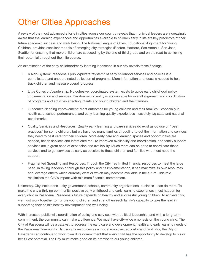# Other Cities Approaches

A review of the most advanced efforts in cities across our country reveals that municipal leaders are increasingly aware that the learning experiences and opportunities available to children early in life are key predictors of their future academic success and well- being. The National League of Cities, Educational Alignment for Young Children, provides excellent models of emerging city strategies (Boston, Hartford, San Antonio, San Jose, Seattle) for ensuring that more children are succeeding by the end of third grade and on the road to achieving their potential throughout their life course.

An examination of the early childhood/early learning landscape in our city reveals these findings:

- **•** A Non-System: Pasadena's public/private "system" of early childhood services and policies is a complicated and uncoordinated collection of programs. More information and focus is needed to help track children and measure overall progress.
- **•** Little Cohesion/Leadership: No cohesive, coordinated system exists to guide early childhood policy, implementation and services. Day-to-day, no entity is accountable for overall alignment and coordination of programs and activities affecting infants and young children and their families.
- **•** Outcomes Needing Improvement: Most outcomes for young children and their families especially in health care, school performance, and early learning quality experiences – severely lag state and national benchmarks.
- **•** Quality Services and Resources: Quality early learning and care services do exist as do use of " best practices" for some children, but we have too many families struggling to get the information and services they need to best care for their children. More early care and learning spaces and opportunities are needed, health services and infant care require improved availability and coordination, and family support services are in great need of expansion and availability. Much more can be done to coordinate these services and to get services as early as possible to those children and families who most need the support.
- **•** Fragmented Spending and Resources: Though the City has limited financial resources to meet the large need, in taking leadership through this policy and its implementation, it can maximize its own resources and leverage others which currently exist or which may become available in the future. This role maximizes the City's impact with minimum financial commitment.

Ultimately, City institutions – city government, schools, community organizations, business – can do more. To make the city a thriving community, positive early childhood and early learning experiences must happen for every child in Pasadena. Pasadena's future depends on healthy and successful young children. To achieve this, we must work together to nurture young children and strengthen each family's capacity to take the lead in supporting their child's healthy development and well-being.

With increased public will, coordination of policy and services, with political leadership, and with a long-term commitment, the community can make a difference. We must have city-wide emphasis on the young child. The City of Pasadena will be a catalyst to address the early care and development, health and early learning needs of the Pasadena Community. By using its resources as a model employer, educator and facilitator, the City of Pasadena can continue to work toward its commitment that every child has the opportunity to develop to his or her fullest potential. The City must make good on its promise to our young children.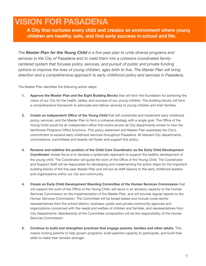### **VISION FOR PASADENA**

**A City that nurtures every child and creates an environment where young children are healthy, safe, and find early success in school and life.**

*The Master Plan for the Young Child is a five-year plan to unite diverse programs and services in the City of Pasadena and to meld them into a cohesive coordinated familycentered system that focuses policy, services, and pursuit of public and private funding options to improve the lives of young children, ages birth to five. The Master Plan will bring direction and a comprehensive approach to early childhood policy and services in Pasadena.*

The Master Plan identifies the following action steps:

- **1. Approve the Master Plan and the Eight Building Blocks** that will form the foundation for achieving the vision of our City for the health, safety, and success of our young children. The building blocks will form a comprehensive framework to advocate and deliver services to young children and their families.
- **2. Create an independent Office of the Young Child** that will coordinate and implement early childhood policy, services, and the Master Plan to form a cohesive strategy with a single goal. The Office of the Young Child would be an independent office that works across all City departments similar to how the Northwest Programs Office functions. This policy statement and Master Plan expresses the City's commitment to expand early childhood services throughout Pasadena. All relevant City departments, commissions, committees and boards will foster and support this policy.
- **3. Rename and redefine the position of the Child Care Coordinator as the Early Child Development Coordinator** whose focus is to develop a systematic approach to support the healthy development of the young child. The Coordinator will guide the work of the Office of the Young Child. The Coordinator and Support Staff will be responsible for developing and implementing the action steps for the important building blocks of the five-year Master Plan and will act as staff liaisons to the early childhood leaders and organizations within our city and community.
- **4. Create an Early Child Development Standing Committee of the Human Services Commission** that will support the work of the Office of the Young Child, will serve in an advisory capacity to the Human Services Commission on the implementation of the Master Plan, and will provide regular reports to the Human Services Commission. The Committee will be broad-based and include cross-sector representatives from the school district, business, public and private community agencies and organizations concerned with the needs and welfare of children and families, and representatives from City Departments. Membership of the Committee composition will be the responsibility of the Human Services Commission.
- **5. Continue to build and strengthen practices that engage parents, families and other adults.** This means inviting parents to help govern programs, build parental capacity to participate, and build their skills to make their families stronger.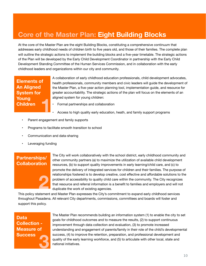### **Core of the Master Plan: Eight Building Blocks**

At the core of the Master Plan are the eight Building Blocks, constituting a comprehensive continuum that addresses early childhood needs of children birth to five years old, and those of their families. The complete plan will outline the strategic actions to implement the building blocks and a five-year timetable. The strategic actions of the Plan will be developed by the Early Child Development Coordinator in partnership with the Early Child Development Standing Committee of the Human Services Commission, and in collaboration with the early childhood leaders and organizations within our city and community.

#### **Elements of An Aligned System for Young Children 1**

A collaboration of early childhood education professionals, child development advocates, health professionals, community members and civic leaders will guide the development of the Master Plan, a five-year action planning tool, implementation guide, and resource for greater accountability. The strategic actions of the plan will focus on the elements of an aligned system for young children:

- Formal partnerships and collaboration
- Access to high quality early education, heath, and family support programs
- Parent engagement and family supports
- Programs to facilitate smooth transition to school
- Communication and data-sharing
- Leveraging funding

#### **Partnerships/ Collaboration**



The City will work collaboratively with the school district, early childhood community and other community partners (a) to maximize the utilization of available child development resources, (b) to support quality improvements in early learning/child care, and (c) to promote the delivery of integrated services for children and their families. The purpose of relationships fostered is to develop creative, cost effective and affordable solutions to the problem of accessibility to quality child care within the community. The City recognizes that resource and referral information is a benefit to families and employers and will not duplicate the work of existing agencies.

This policy statement and Master Plan expresses the City's commitment to expand early childhood services throughout Pasadena. All relevant City departments, commissions, committees and boards will foster and support this policy.

### **Data Collection - Measure of Success 3**

The Master Plan recommends building an information system (1) to enable the city to set goals for childhood outcomes and to measure the results, (2) to support continuous improvement through data collection and evaluation, (3) to promote increased understanding and engagement of parents/family in their role of the child's developmental success, (4) to improve the retention, preparation, and professional development and quality of the early learning workforce, and (5) to articulate with other local, state and national initiatives.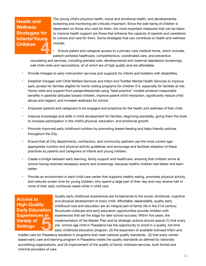#### **Health and Wellness Strategies for Infants/Young Children 4**

The young child's physical health, social and emotional health, and developmental screening and monitoring are critically important. Since the well-being of children is dependent on those who care for them, the most important measures that can be taken to improve health support are those that enhance the capacity of parents and caretakers to nurture and care for them. Some strategies that can contribute to health and wellness include:

• Ensure parent and caregiver access to a primary care medical home, which includes patient-centered healthcare, comprehensive, coordinated care, and preventive

counseling and services, including prenatal care, developmental and maternal depression screenings, well child visits and vaccinations, all of which are of high quality and are affordable.

- Provide linkages to early intervention services and supports for infants and toddlers with disabilities.
- Establish linkages with Child Welfare Services and Infant and Toddler Mental Health Services to improve early access for families eligible for home visiting programs for children 0-5, especially for families at risk. Home visits and support from paraprofessionals using "best practice" models produce measurable benefits in parental attitudes toward children, improve parent-child interaction, significantly reduce child abuse and neglect, and increase readiness for school.
- Empower parents and caregivers to be engaged and proactive for the health and wellness of their child.
- Improve knowledge and skills in child development for families, beginning prenatally, giving them the tools to increase participation in the child's physical, education, and emotional growth.
- Promote improved early childhood nutrition by promoting breast-feeding and baby-friendly policies throughout the City.
- Ensure that all City departments, contractors, and community partners use the most current ageappropriate nutrition and physical activity guidelines and encourage and facilitate adoption of these practices by parents and caregivers of infants and young children.
- Create a bridge between early learning, family support and healthcare, ensuring that children arrive at school having received necessary exams and screenings, because healthy children feel better and learn better.
- Provide an environment in each child care center that supports healthy eating, promotes physical activity, and reduces screen time for young children, who spend a large part of their day and may receive half or more of their daily nutritional needs while in child care.

#### **Access to High-Quality Early Education Experiences in Variety of Experiences In**<br>Variety of<br>Settings

Quality early childhood experiences are fundamental to the social, emotional, cognitive and physical development of every child. Affordable, dependable, quality early childhood care and education are an integral part of family life in the 21st century. Structured childcare and early education opportunities provide children with experiences that set the stage for later school success. Within five years, the implementation of the Master Plan and its strategic actions should assure (1) that every pre- school age child in Pasadena has the opportunity to enroll in a quality, full-time early childhood education program, (2) the expansion of available licensed infant and

toddler care for Pasadena residents in programs that meet national quality standards, (3) that every centerbased early care and learning program in Pasadena meets the quality standards as defined by nationally accrediting organizations, and (4) improvement of the quality of family childcare services, both formal and informal providers of care.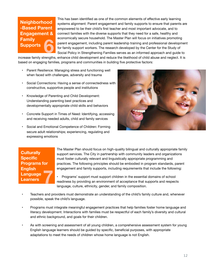#### **Neighborhood -Based Parent Engagement & Family Supports 6**

This has been identified as one of the common elements of effective early learning systems alignment: Parent engagement and family supports to ensure that parents are empowered to be their child's first teacher and most important advocate, and to connect families with the diverse supports that they need for a safe, healthy and economically secure household. The Master Plan will focus on initiatives promoting parent engagement, including parent leadership training and professional development for family support workers. The research developed by the Center for the Study of Social Policy in Strengthening Families serves as an informed approach and guide to

increase family strengths, enhance child development and reduce the likelihood of child abuse and neglect. It is based on engaging families, programs and communities in building five protective factors:

- Parent Resilience: Managing stress and functioning well when faced with challenges, adversity and trauma
- Social Connections: Having a sense of connectedness with constructive, supportive people and institutions
- Knowledge of Parenting and Child Development: Understanding parenting best practices and developmentally appropriate child skills and behaviors
- Concrete Support in Times of Need: Identifying, accessing and receiving needed adults, child and family services
- Social and Emotional Competence of Children: Forming secure adult relationships; experiencing, regulating and expressing emotions



#### **Culturally Specific Programs for English Language Language**<br>Language<br>Learners

The Master Plan should focus on high-quality bilingual and culturally appropriate family support services. The City in partnership with community leaders and organizations must foster culturally relevant and linguistically appropriate programming and practices. The following principles should be embodied in program standards, parent engagement and family supports, including requirements that include the following:

• Programs' support must support children in the essential domains of school readiness by providing an environment of acceptance that supports and respects language, culture, ethnicity, gender, and family composition.

- Teachers and providers must demonstrate an understanding of the child's family culture and, whenever possible, speak the child's language.
- Programs must integrate meaningful engagement practices that help families foster home language and literacy development. Interactions with families must be respectful of each family's diversity and cultural and ethnic background, and goals for their children.
- As with screening and assessment of all young children, a comprehensive assessment system for young English language learners should be guided by specific, beneficial purposes, with appropriate adaptations to meet the needs of children whose home language is not English.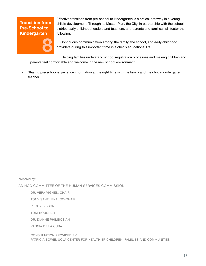#### **Transition from Pre-School to Kindergarten**



Effective transition from pre-school to kindergarten is a critical pathway in a young child's development. Through its Master Plan, the City, in partnership with the school district, early childhood leaders and teachers, and parents and families, will foster the following:

• Continuous communication among the family, the school, and early childhood providers during this important time in a child's educational life.

• Helping families understand school registration processes and making children and parents feel comfortable and welcome in the new school environment.

• Sharing pre-school experience information at the right time with the family and the child's kindergarten teacher.

prepared by:

AD HOC COMMITTEE OF THE HUMAN SERVICES COMMISSION

DR. VERA VIGNES, CHAIR

TONY SANTILENA, CO-CHAIR

PEGGY SISSON

TONI BOUCHER

DR. DIANNE PHILIBOSIAN

VANNIA DE LA CUBA

CONSULTATION PROVIDED BY: PATRICIA BOWIE, UCLA CENTER FOR HEALTHIER CHILDREN, FAMILIES AND COMMUNITIES